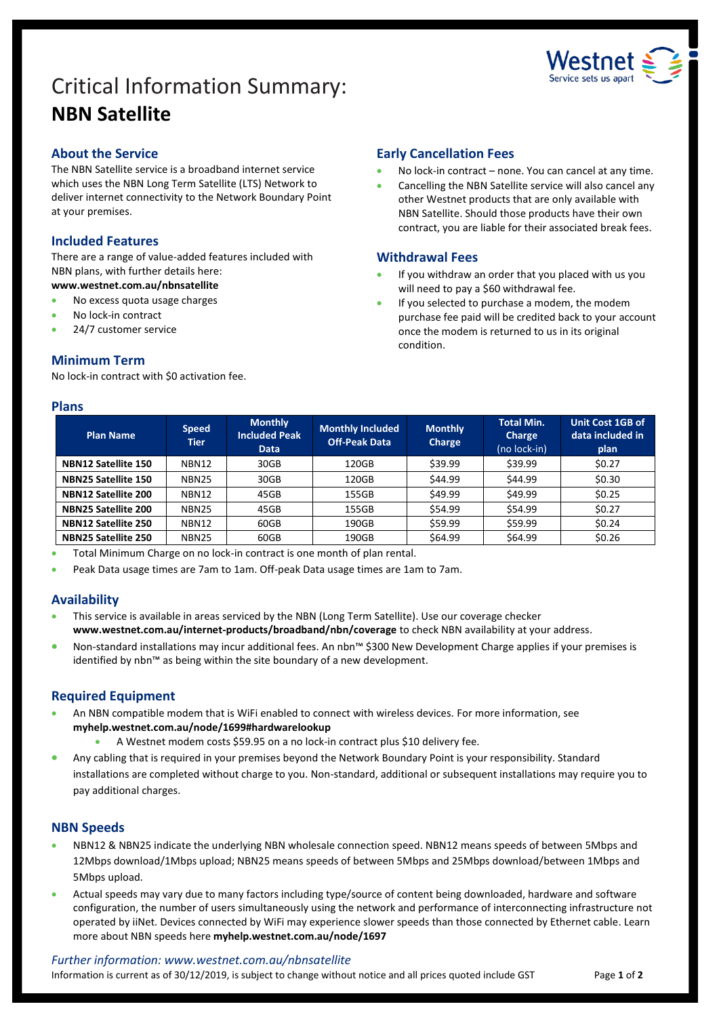# Critical Information Summary: **NBN Satellite**



# **About the Service**

The NBN Satellite service is a broadband internet service which uses the NBN Long Term Satellite (LTS) Network to deliver internet connectivity to the Network Boundary Point at your premises.

# **Included Features**

There are a range of value-added features included with NBN plans, with further details here: **www.westnet.com.au/nbnsatellite**

- No excess quota usage charges
- No lock-in contract
- 24/7 customer service

# **Minimum Term**

No lock-in contract with \$0 activation fee.

#### **Plans**

# **Early Cancellation Fees**

- No lock-in contract none. You can cancel at any time.
- Cancelling the NBN Satellite service will also cancel any other Westnet products that are only available with NBN Satellite. Should those products have their own contract, you are liable for their associated break fees.

# **Withdrawal Fees**

- If you withdraw an order that you placed with us you will need to pay a \$60 withdrawal fee.
- If you selected to purchase a modem, the modem purchase fee paid will be credited back to your account once the modem is returned to us in its original condition.

| <b>Plan Name</b>           | <b>Speed</b><br>Tier | <b>Monthly</b><br><b>Included Peak</b><br><b>Data</b> | <b>Monthly Included</b><br><b>Off-Peak Data</b> | <b>Monthly</b><br>Charge | <b>Total Min.</b><br>Charge<br>(no lock-in) | Unit Cost 1GB of<br>data included in<br>plan |
|----------------------------|----------------------|-------------------------------------------------------|-------------------------------------------------|--------------------------|---------------------------------------------|----------------------------------------------|
| NBN12 Satellite 150        | NBN12                | 30GB                                                  | 120GB                                           | \$39.99                  | \$39.99                                     | \$0.27                                       |
| NBN25 Satellite 150        | <b>NBN25</b>         | 30GB                                                  | 120GB                                           | \$44.99                  | \$44.99                                     | \$0.30                                       |
| NBN12 Satellite 200        | NBN12                | 45GB                                                  | 155GB                                           | \$49.99                  | \$49.99                                     | \$0.25                                       |
| NBN25 Satellite 200        | <b>NBN25</b>         | 45GB                                                  | 155GB                                           | \$54.99                  | \$54.99                                     | \$0.27                                       |
| NBN12 Satellite 250        | NBN12                | 60GB                                                  | 190GB                                           | \$59.99                  | \$59.99                                     | \$0.24                                       |
| <b>NBN25 Satellite 250</b> | <b>NBN25</b>         | 60GB                                                  | 190GB                                           | \$64.99                  | \$64.99                                     | \$0.26                                       |

Total Minimum Charge on no lock-in contract is one month of plan rental.

Peak Data usage times are 7am to 1am. Off-peak Data usage times are 1am to 7am.

# **Availability**

- This service is available in areas serviced by the NBN (Long Term Satellite). Use our [coverage checker](https://www.westnet.com.au/internet-products/broadband/nbn/coverage/) **www.westnet.com.au/internet-products/broadband/nbn/coverage** to check NBN availability at your address.
- Non-standard installations may incur additional fees. An nbn™ \$300 New Development Charge applies if your premises is identified by nbn™ as being within the site boundary of a new development.

# **Required Equipment**

- An NBN compatible modem that is WiFi enabled to connect with wireless devices. For more information, see **myhelp.westnet.com.au/node/1699#hardwarelookup**
	- A Westnet modem costs \$59.95 on a no lock-in contract plus \$10 delivery fee.
- Any cabling that is required in your premises beyond the Network Boundary Point is your responsibility. Standard installations are completed without charge to you. Non-standard, additional or subsequent installations may require you to pay additional charges.

#### **NBN Speeds**

- NBN12 & NBN25 indicate the underlying NBN wholesale connection speed. NBN12 means speeds of between 5Mbps and 12Mbps download/1Mbps upload; NBN25 means speeds of between 5Mbps and 25Mbps download/between 1Mbps and 5Mbps upload.
- Actual speeds may vary due to many factors including type/source of content being downloaded, hardware and software configuration, the number of users simultaneously using the network and performance of interconnecting infrastructure not operated by iiNet. Devices connected by WiFi may experience slower speeds than those connected by Ethernet cable. Learn more about NBN speeds here **myhelp.westnet.com.au/node/1697**

#### *Further information: www.westnet.com.au/nbnsatellite*

Information is current as of 30/12/2019, is subject to change without notice and all prices quoted include GST Page 1 of 2